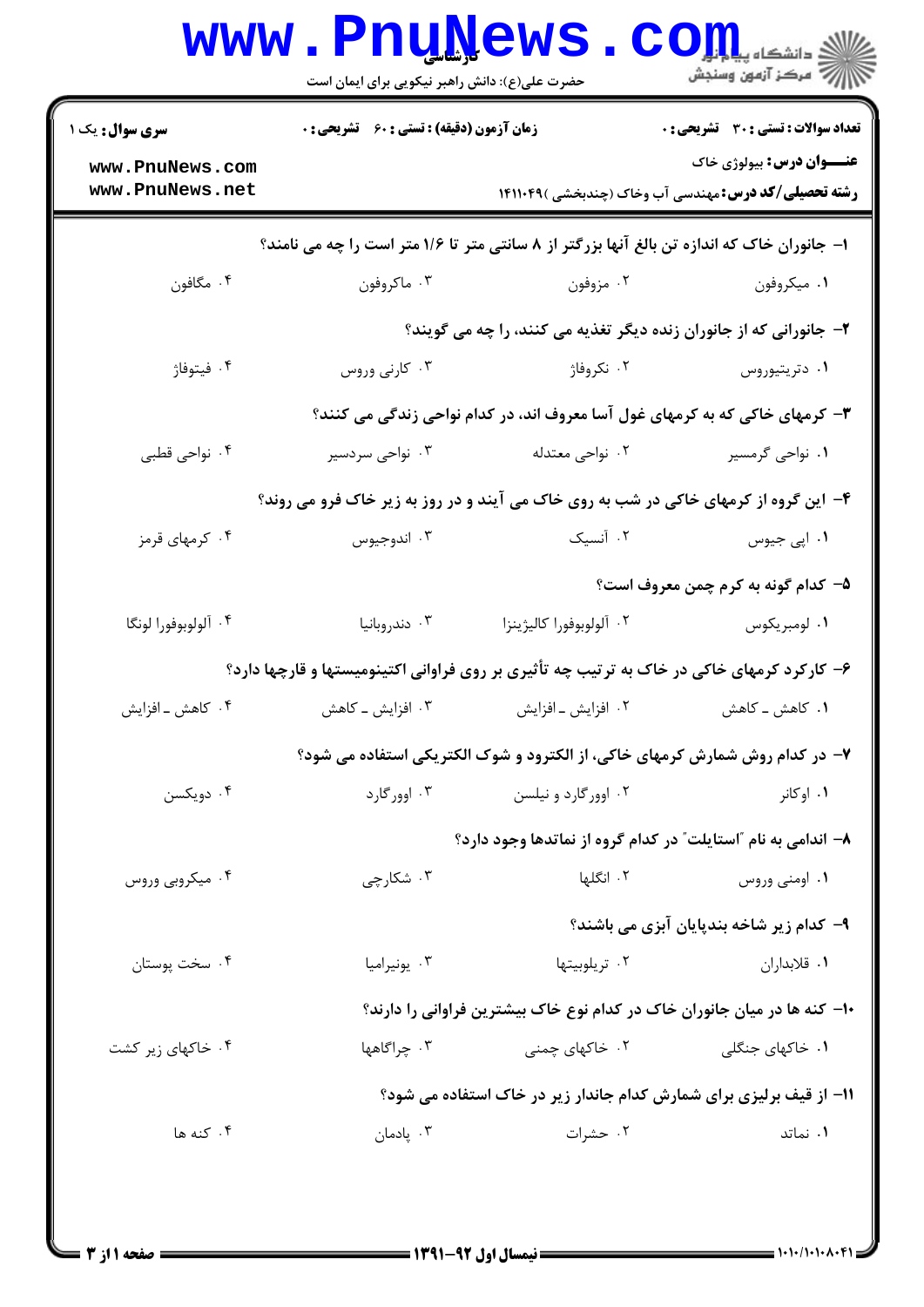| <b>سری سوال :</b> یک ۱ | زمان آزمون (دقیقه) : تستی : 60 ٪ تشریحی : 0                                 |                          | <b>تعداد سوالات : تستی : 30 ٪ تشریحی : 0</b>                                               |  |  |
|------------------------|-----------------------------------------------------------------------------|--------------------------|--------------------------------------------------------------------------------------------|--|--|
| www.PnuNews.com        |                                                                             |                          | <b>عنـــوان درس:</b> بیولوژی خاک                                                           |  |  |
| www.PnuNews.net        |                                                                             |                          | <b>رشته تحصیلی/کد درس:</b> مهندسی آب وخاک (چندبخشی )۱۴۱۱۰۴۹                                |  |  |
|                        |                                                                             |                          | ا- جانوران خاک که اندازه تن بالغ آنها بزرگتر از ۸ سانتی متر تا ۱/۶ متر است را چه می نامند؟ |  |  |
| ۰۴ مگافون              | ۰۳ ماکروفون                                                                 | ۰۲ مزوفون                | ۰۱ میکروفون                                                                                |  |  |
|                        | ۲- جانورانی که از جانوران زنده دیگر تغذیه می کنند، را چه می گویند؟          |                          |                                                                                            |  |  |
| ۰۴ فيتوفاژ             | ۰۳ کارنی وروس                                                               | ۰۲ نکروفاژ               | ۰۱ دتریتیوروس                                                                              |  |  |
|                        | ۳- کرمهای خاکی که به کرمهای غول آسا معروف اند، در کدام نواحی زندگی می کنند؟ |                          |                                                                                            |  |  |
| ۰۴ نواحی قطبی          | ۰۳ نواحی سردسیر                                                             | ۰۲ نواحی معتدله          | ۰۱ نواحی گرمسیر                                                                            |  |  |
|                        |                                                                             |                          | ۴- این گروه از کرمهای خاکی در شب به روی خاک می آیند و در روز به زیر خاک فرو می روند؟       |  |  |
| ۰۴ کرمهای قرمز         | ۰۳ اندوجیوس                                                                 | ۰۲ آنسیک                 | ۰۱ اپی جیوس                                                                                |  |  |
|                        |                                                                             |                          | ۵– کدام گونه به کرم چمن معروف است؟                                                         |  |  |
| ۰۴ آلولوبوفورا لونگا   | ۰۳ دندروبانیا                                                               | ٠٢ آلولوبوفورا كاليژينزا | ۰۱ لومبريکوس                                                                               |  |  |
|                        |                                                                             |                          | ۶- کارکرد کرمهای خاکی در خاک به ترتیب چه تأثیری بر روی فراوانی اکتینومیستها و قارچها دارد؟ |  |  |
| ۰۴ کاهش ـ افزايش       | ۰۳ افزایش ــ کاهش                                                           | ۰۲ افزایش ـ افزایش       | ۰۱ کاهش ــ کاهش                                                                            |  |  |
|                        |                                                                             |                          | ۷- در کدام روش شمارش کرمهای خاکی، از الکترود و شوک الکتریکی استفاده می شود؟                |  |  |
| ۰۴ دویکسن              | ۰۳ اوورگارد                                                                 | ۰۲ اوورگارد و نیلسن      | ۰۱ اوکانر                                                                                  |  |  |
|                        |                                                                             |                          | ۸– اندامی به نام ″استایلت″ در کدام گروه از نماتدها وجود دارد؟                              |  |  |
| ۰۴ میکروبی وروس        | ۰۳ شکارچی                                                                   | ۲. انگلها                | ۰۱ اومنی وروس                                                                              |  |  |
|                        |                                                                             |                          | ۹- کدام زیر شاخه بندپایان آبزی می باشند؟                                                   |  |  |
| ۰۴ سخت پوستان          | ۰۳ يونيراميا                                                                | ۰۲ تریلوبیتها            | ۰۱ قلابداران                                                                               |  |  |
|                        |                                                                             |                          | ∙۱− کنه ها در میان جانوران خاک در کدام نوع خاک بیشترین فراوانی را دارند؟                   |  |  |
| ۰۴ خاکهای زیر کشت      | ۰۳ چراگاهها                                                                 | ۰۲ خاکهای چمنی           | <b>۱.</b> خاکهای جنگلی                                                                     |  |  |
|                        |                                                                             |                          | 11- از قیف برلیزی برای شمارش کدام جاندار زیر در خاک استفاده می شود؟                        |  |  |
| ۰۴ کنه ها              | ۰۳ پادمان                                                                   | ۰۲ حشرات                 | ۰۱ نماتد                                                                                   |  |  |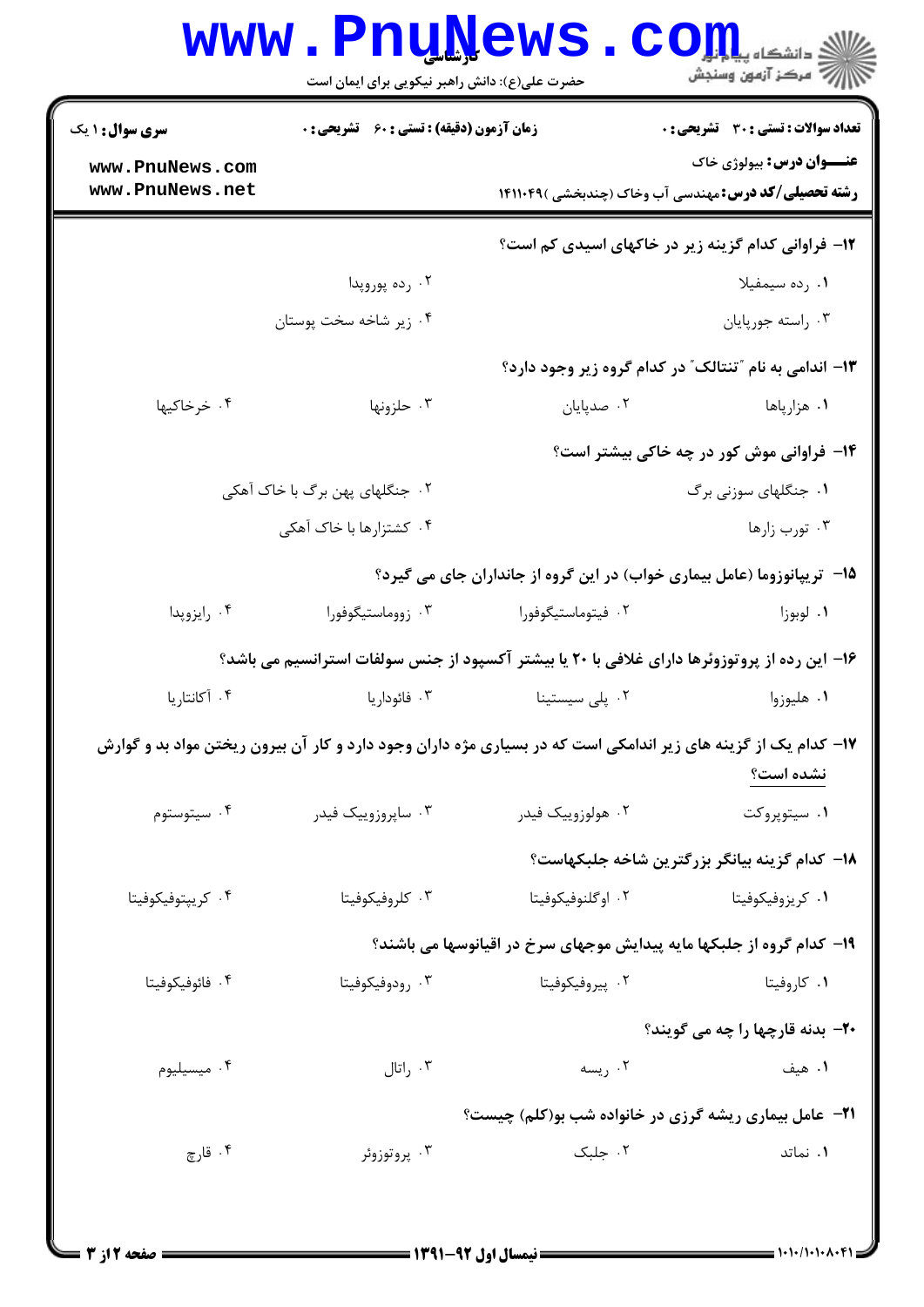| ي دانشڪاه پ <b>يا پايل</b><br>رآ مرڪز آزمون وسنڊش |                                                                                                                | حضرت علی(ع): دانش راهبر نیکویی برای ایمان است      |                                    |
|---------------------------------------------------|----------------------------------------------------------------------------------------------------------------|----------------------------------------------------|------------------------------------|
| <b>تعداد سوالات : تستی : 30 ٪ تشریحی : 0</b>      |                                                                                                                | <b>زمان آزمون (دقیقه) : تستی : 60 ٪ تشریحی : 0</b> | سری سوال: ۱ یک                     |
| <b>عنـــوان درس:</b> بیولوژی خاک                  | <b>رشته تحصیلی/کد درس:</b> مهندسی آب وخاک (چندبخشی )۱۴۱۱۰۴۹                                                    |                                                    | www.PnuNews.com<br>www.PnuNews.net |
|                                                   | <b>۱۲</b> - فراوانی کدام گزینه زیر در خاکهای اسیدی کم است؟                                                     |                                                    |                                    |
| ۰۱ رده سیمفیلا                                    |                                                                                                                | ۰۲ رده پوروپدا                                     |                                    |
| ۰۳ راسته جورپایان                                 |                                                                                                                | ۰۴ زیر شاخه سخت پوستان                             |                                    |
|                                                   | ۱۳- اندامی به نام "تنتالک" در کدام گروه زیر وجود دارد؟                                                         |                                                    |                                    |
| ۱. هزارپاها                                       | ۰۲ صدپایان                                                                                                     | ۰۳ حلزونها                                         | ۰۴ خرخاکیها                        |
| ۱۴- فراوانی موش کور در چه خاکی بیشتر است؟         |                                                                                                                |                                                    |                                    |
| ۰۱ جنگلهای سوزنی برگ                              |                                                                                                                | ۲. جنگلهای پهن برگ با خاک آهکی                     |                                    |
| ۰۳ تورب زارها                                     |                                                                                                                | ۰۴ کشتزارها با خاک آهکی                            |                                    |
|                                                   | ۱۵- تریپانوزوما (عامل بیماری خواب) در این گروه از جانداران جای می گیرد؟                                        |                                                    |                                    |
| ۰۱ لوبوزا                                         | ۰۲ فیتوماستیگوفورا                                                                                             | ۰۳ زووماستيگوفورا                                  | ۰۴ رايزوپدا                        |
|                                                   | ۱۶– این رده از پروتوزوئرها دارای غلافی با ۲۰ یا بیشتر آکسپود از جنس سولفات استرانسیم می باشد؟                  |                                                    |                                    |
| ۰۱ هلیوزوا                                        | ۰۲ پلی سیستینا                                                                                                 | ۰۳ فائوداریا                                       | ۰۴ آکانتاریا                       |
| نشده است؟                                         | ۱۷– کدام یک از گزینه های زیر اندامکی است که در بسیاری مژه داران وجود دارد و کار آن بیرون ریختن مواد بد و گوارش |                                                    |                                    |
| ۰۱ سیتوپروکت                                      | ۰۲ هولوزوييک فيدر                                                                                              | ۰۳ ساپروزوييک فيدر                                 | ۰۴ سیتوستوم                        |
| 1۸– کدام گزینه بیانگر بزرگترین شاخه جلبکهاست؟     |                                                                                                                |                                                    |                                    |
| ۰۱ کریزوفیکوفیتا                                  | ۰۲ اوگلنوفيکوفيتا                                                                                              | ۰۳ کلروفیکوفیتا                                    | ۰۴ کریپتوفیکوفیتا                  |
|                                                   | ۱۹– کدام گروه از جلبکها مایه پیدایش موجهای سرخ در اقیانوسها می باشند؟                                          |                                                    |                                    |
| ۰۱ کاروفیتا                                       | ۰۲ پیروفیکوفیتا                                                                                                | ۰۳ رودوفیکوفیتا                                    | ۰۴ فائوفيكوفيتا                    |
| <b>۲۰</b> - بدنه قارچها را چه می گویند؟           |                                                                                                                |                                                    |                                    |
| ۰۱ هیف                                            | ۰۲ ریسه                                                                                                        | ۰۳ راتال                                           | ۰۴ میسیلیوم                        |
|                                                   | <b>۲۱</b> - عامل بیماری ریشه گرزی در خانواده شب بو(کلم) چیست؟                                                  |                                                    |                                    |
| ۰۱ نماتد                                          | ۰۲ جلبک                                                                                                        | ۰۳ پروتوزوئر                                       | ۰۴ قارچ                            |